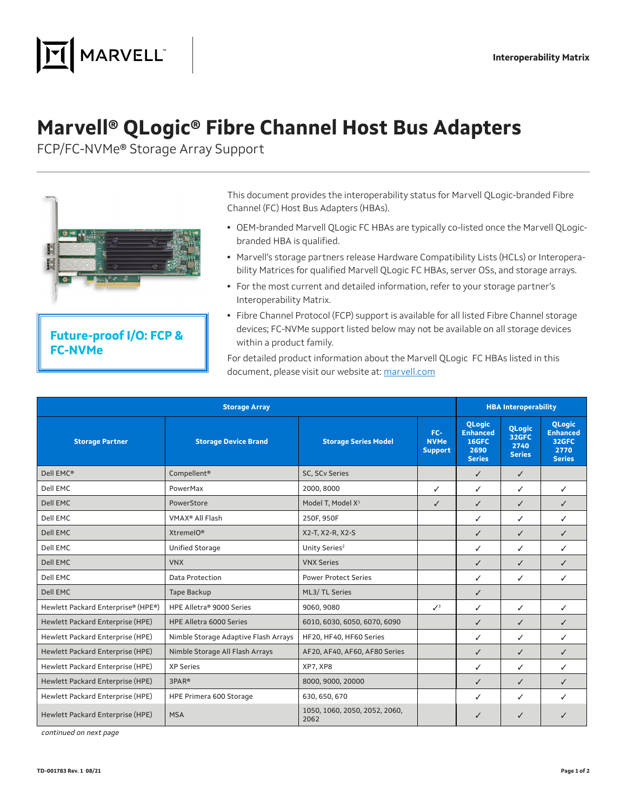

## **Marvell® QLogic® Fibre Channel Host Bus Adapters**

FCP/FC-NVMe® Storage Array Support



## **Future-proof I/O: FCP & FC-NVMe**

This document provides the interoperability status for Marvell QLogic-branded Fibre Channel (FC) Host Bus Adapters (HBAs).

- **•** OEM-branded Marvell QLogic FC HBAs are typically co-listed once the Marvell QLogicbranded HBA is qualified.
- **•** Marvell's storage partners release Hardware Compatibility Lists (HCLs) or Interoperability Matrices for qualified Marvell QLogic FC HBAs, server OSs, and storage arrays.
- **•** For the most current and detailed information, refer to your storage partner's Interoperability Matrix.
- **•** Fibre Channel Protocol (FCP) support is available for all listed Fibre Channel storage devices; FC-NVMe support listed below may not be available on all storage devices within a product family.

For detailed product information about the Marvell QLogic FC HBAs listed in this document, please visit our website at: [marvell.com](https://www.marvell.com)

| <b>Storage Array</b>               |                                      |                                       |                                      | <b>HBA Interoperability</b>                                        |                                                 |                                                                    |  |
|------------------------------------|--------------------------------------|---------------------------------------|--------------------------------------|--------------------------------------------------------------------|-------------------------------------------------|--------------------------------------------------------------------|--|
| <b>Storage Partner</b>             | <b>Storage Device Brand</b>          | <b>Storage Series Model</b>           | FC-<br><b>NVMe</b><br><b>Support</b> | <b>OLogic</b><br><b>Enhanced</b><br>16GFC<br>2690<br><b>Series</b> | <b>QLogic</b><br>32GFC<br>2740<br><b>Series</b> | <b>OLogic</b><br><b>Enhanced</b><br>32GFC<br>2770<br><b>Series</b> |  |
| Dell EMC®                          | Compellent <sup>®</sup>              | SC, SCv Series                        |                                      | ✓                                                                  | $\checkmark$                                    |                                                                    |  |
| Dell EMC                           | PowerMax                             | 2000, 8000                            | ✓                                    | ✓                                                                  | ✓                                               | ✓                                                                  |  |
| Dell EMC                           | PowerStore                           | Model T, Model X <sup>1</sup>         | ✓                                    | ✓                                                                  | $\checkmark$                                    | ✓                                                                  |  |
| Dell EMC                           | VMAX <sup>®</sup> All Flash          | 250F, 950F                            |                                      | ✓                                                                  | ✓                                               | ✓                                                                  |  |
| Dell EMC                           | XtremelO®                            | X2-T, X2-R, X2-S                      |                                      | ✓                                                                  | ✓                                               | ✓                                                                  |  |
| Dell EMC                           | <b>Unified Storage</b>               | Unity Series <sup>2</sup>             |                                      | ✓                                                                  | ✓                                               | ✓                                                                  |  |
| Dell EMC                           | <b>VNX</b>                           | <b>VNX Series</b>                     |                                      | ✓                                                                  | ✓                                               | ✓                                                                  |  |
| Dell EMC                           | Data Protection                      | <b>Power Protect Series</b>           |                                      | ✓                                                                  | ✓                                               | ✓                                                                  |  |
| Dell EMC                           | <b>Tape Backup</b>                   | ML3/ TL Series                        |                                      | ✓                                                                  |                                                 |                                                                    |  |
| Hewlett Packard Enterprise® (HPE®) | HPE Alletra® 9000 Series             | 9060, 9080                            | $\mathcal{J}^3$                      | ✓                                                                  | ✓                                               | ✓                                                                  |  |
| Hewlett Packard Enterprise (HPE)   | <b>HPE Alletra 6000 Series</b>       | 6010, 6030, 6050, 6070, 6090          |                                      | ✓                                                                  | ✓                                               | ✓                                                                  |  |
| Hewlett Packard Enterprise (HPE)   | Nimble Storage Adaptive Flash Arrays | HF20, HF40, HF60 Series               |                                      | ✓                                                                  | ✓                                               | ✓                                                                  |  |
| Hewlett Packard Enterprise (HPE)   | Nimble Storage All Flash Arrays      | AF20, AF40, AF60, AF80 Series         |                                      | ✓                                                                  | $\checkmark$                                    | ✓                                                                  |  |
| Hewlett Packard Enterprise (HPE)   | <b>XP Series</b>                     | XP7, XP8                              |                                      | ✓                                                                  | ✓                                               | ✓                                                                  |  |
| Hewlett Packard Enterprise (HPE)   | 3PAR <sup>®</sup>                    | 8000, 9000, 20000                     |                                      | ✓                                                                  | ✓                                               | ✓                                                                  |  |
| Hewlett Packard Enterprise (HPE)   | HPE Primera 600 Storage              | 630, 650, 670                         |                                      | ✓                                                                  | ✓                                               | ✓                                                                  |  |
| Hewlett Packard Enterprise (HPE)   | <b>MSA</b>                           | 1050, 1060, 2050, 2052, 2060,<br>2062 |                                      | ✓                                                                  | ✓                                               |                                                                    |  |

continued on next page